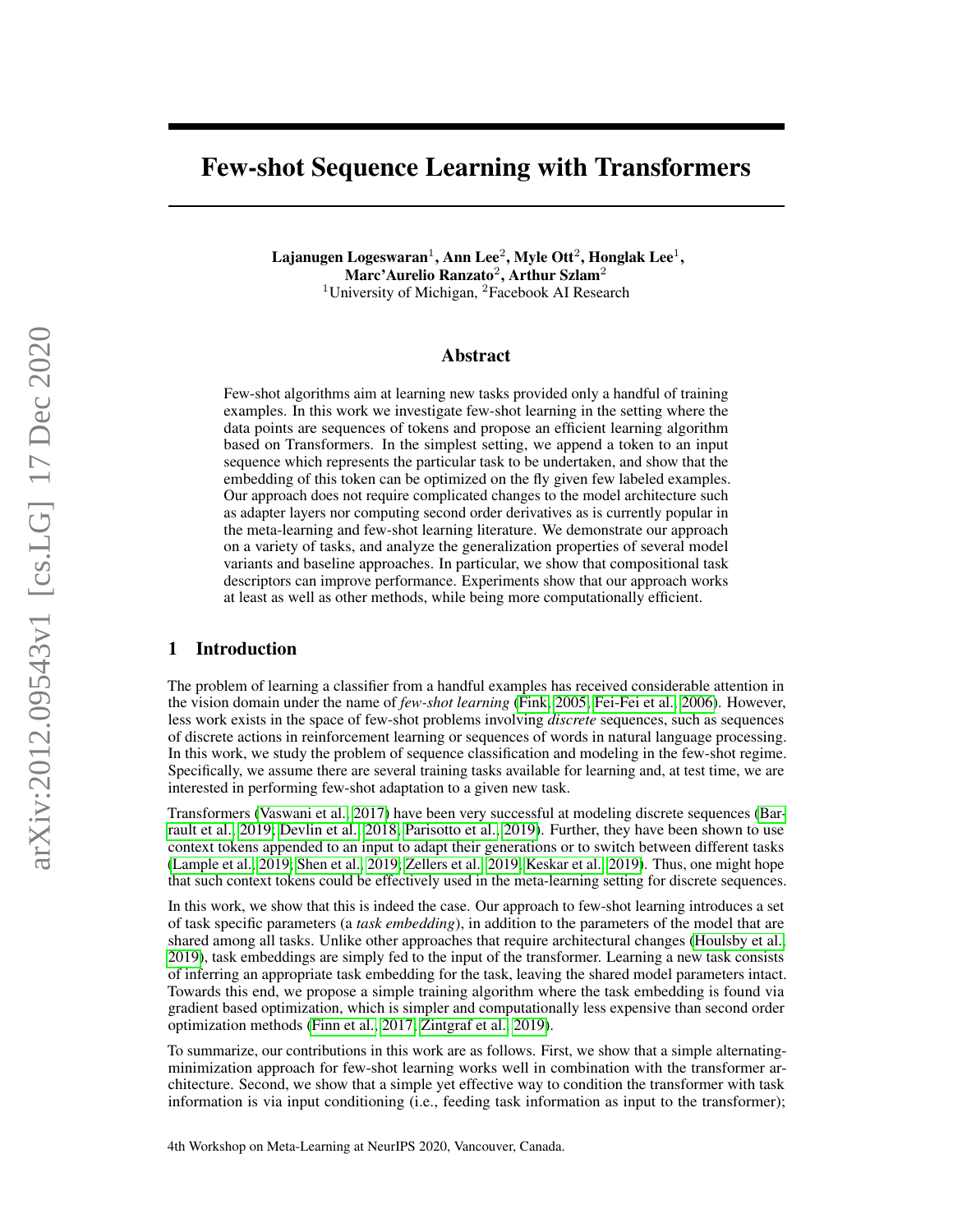# Few-shot Sequence Learning with Transformers

Lajanugen Logeswaran $^1$ , Ann Lee $^2$ , Myle Ott $^2$ , Honglak Lee $^1,$ Marc'Aurelio Ranzato $^2$ , Arthur Szlam $^2$ <sup>1</sup>University of Michigan,  ${}^{2}$ Facebook AI Research

#### Abstract

Few-shot algorithms aim at learning new tasks provided only a handful of training examples. In this work we investigate few-shot learning in the setting where the data points are sequences of tokens and propose an efficient learning algorithm based on Transformers. In the simplest setting, we append a token to an input sequence which represents the particular task to be undertaken, and show that the embedding of this token can be optimized on the fly given few labeled examples. Our approach does not require complicated changes to the model architecture such as adapter layers nor computing second order derivatives as is currently popular in the meta-learning and few-shot learning literature. We demonstrate our approach on a variety of tasks, and analyze the generalization properties of several model variants and baseline approaches. In particular, we show that compositional task descriptors can improve performance. Experiments show that our approach works at least as well as other methods, while being more computationally efficient.

#### 1 Introduction

The problem of learning a classifier from a handful examples has received considerable attention in the vision domain under the name of *few-shot learning* [\(Fink, 2005;](#page-8-0) [Fei-Fei et al., 2006\)](#page-8-1). However, less work exists in the space of few-shot problems involving *discrete* sequences, such as sequences of discrete actions in reinforcement learning or sequences of words in natural language processing. In this work, we study the problem of sequence classification and modeling in the few-shot regime. Specifically, we assume there are several training tasks available for learning and, at test time, we are interested in performing few-shot adaptation to a given new task.

Transformers [\(Vaswani et al., 2017\)](#page-9-0) have been very successful at modeling discrete sequences [\(Bar](#page-8-2)[rault et al., 2019;](#page-8-2) [Devlin et al., 2018;](#page-8-3) [Parisotto et al., 2019\)](#page-9-1). Further, they have been shown to use context tokens appended to an input to adapt their generations or to switch between different tasks [\(Lample et al., 2019;](#page-8-4) [Shen et al., 2019;](#page-9-2) [Zellers et al., 2019;](#page-9-3) [Keskar et al., 2019\)](#page-8-5). Thus, one might hope that such context tokens could be effectively used in the meta-learning setting for discrete sequences.

In this work, we show that this is indeed the case. Our approach to few-shot learning introduces a set of task specific parameters (a *task embedding*), in addition to the parameters of the model that are shared among all tasks. Unlike other approaches that require architectural changes [\(Houlsby et al.,](#page-8-6) [2019\)](#page-8-6), task embeddings are simply fed to the input of the transformer. Learning a new task consists of inferring an appropriate task embedding for the task, leaving the shared model parameters intact. Towards this end, we propose a simple training algorithm where the task embedding is found via gradient based optimization, which is simpler and computationally less expensive than second order optimization methods [\(Finn et al., 2017;](#page-8-7) [Zintgraf et al., 2019\)](#page-9-4).

To summarize, our contributions in this work are as follows. First, we show that a simple alternatingminimization approach for few-shot learning works well in combination with the transformer architecture. Second, we show that a simple yet effective way to condition the transformer with task information is via input conditioning (i.e., feeding task information as input to the transformer);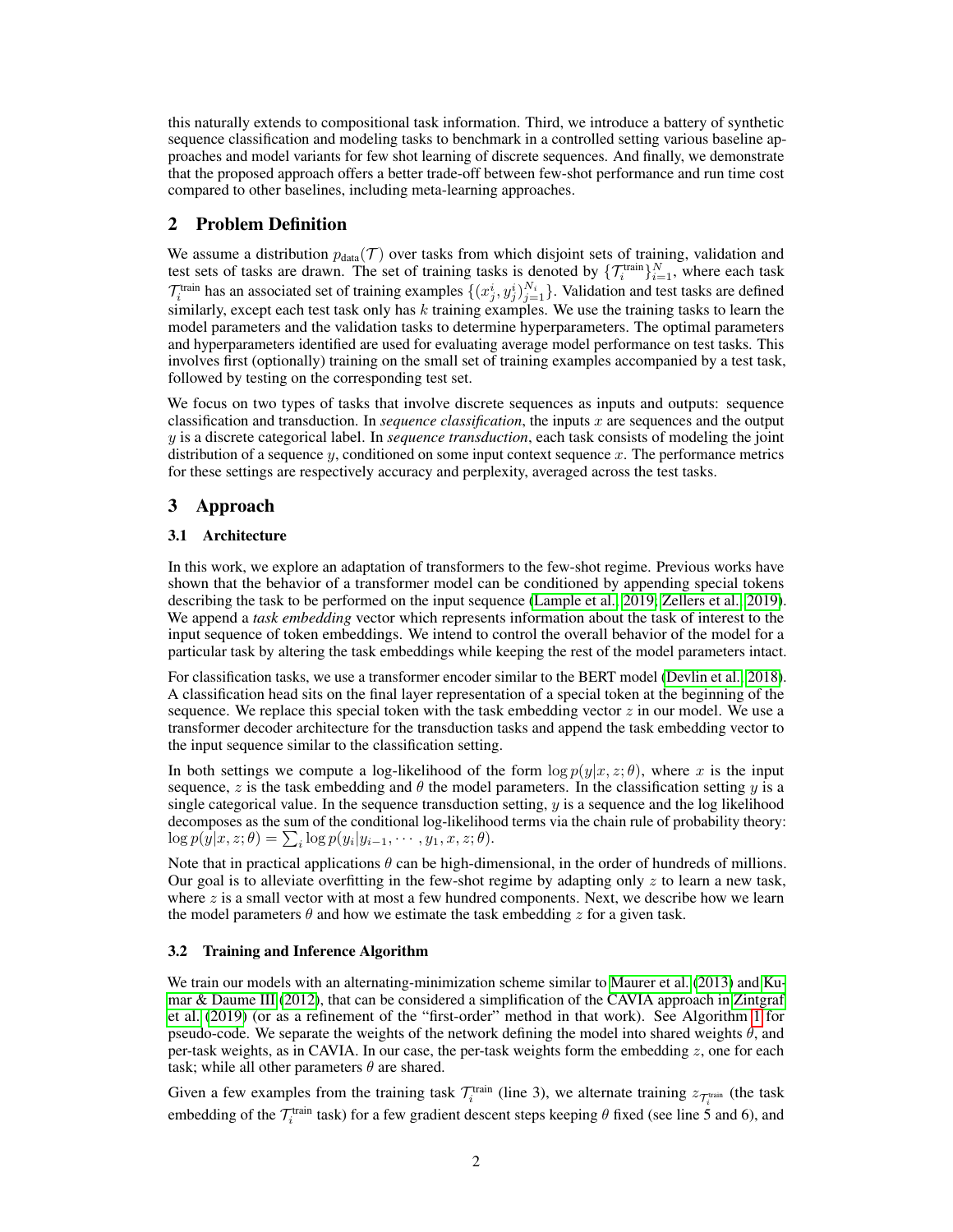this naturally extends to compositional task information. Third, we introduce a battery of synthetic sequence classification and modeling tasks to benchmark in a controlled setting various baseline approaches and model variants for few shot learning of discrete sequences. And finally, we demonstrate that the proposed approach offers a better trade-off between few-shot performance and run time cost compared to other baselines, including meta-learning approaches.

#### 2 Problem Definition

We assume a distribution  $p_{data}(\mathcal{T})$  over tasks from which disjoint sets of training, validation and test sets of tasks are drawn. The set of training tasks is denoted by  $\{T_i^{\text{train}}\}_{i=1}^N$ , where each task  $\mathcal{T}_i^{\text{train}}$  has an associated set of training examples  $\{(x_j^i, y_j^i)_{j=1}^{N_i}\}\.$  Validation and test tasks are defined similarly, except each test task only has  $k$  training examples. We use the training tasks to learn the model parameters and the validation tasks to determine hyperparameters. The optimal parameters and hyperparameters identified are used for evaluating average model performance on test tasks. This involves first (optionally) training on the small set of training examples accompanied by a test task, followed by testing on the corresponding test set.

We focus on two types of tasks that involve discrete sequences as inputs and outputs: sequence classification and transduction. In *sequence classification*, the inputs x are sequences and the output y is a discrete categorical label. In *sequence transduction*, each task consists of modeling the joint distribution of a sequence  $y$ , conditioned on some input context sequence  $x$ . The performance metrics for these settings are respectively accuracy and perplexity, averaged across the test tasks.

#### 3 Approach

#### 3.1 Architecture

In this work, we explore an adaptation of transformers to the few-shot regime. Previous works have shown that the behavior of a transformer model can be conditioned by appending special tokens describing the task to be performed on the input sequence [\(Lample et al., 2019;](#page-8-4) [Zellers et al., 2019\)](#page-9-3). We append a *task embedding* vector which represents information about the task of interest to the input sequence of token embeddings. We intend to control the overall behavior of the model for a particular task by altering the task embeddings while keeping the rest of the model parameters intact.

For classification tasks, we use a transformer encoder similar to the BERT model [\(Devlin et al., 2018\)](#page-8-3). A classification head sits on the final layer representation of a special token at the beginning of the sequence. We replace this special token with the task embedding vector  $z$  in our model. We use a transformer decoder architecture for the transduction tasks and append the task embedding vector to the input sequence similar to the classification setting.

In both settings we compute a log-likelihood of the form  $\log p(y|x, z; \theta)$ , where x is the input sequence, z is the task embedding and  $\theta$  the model parameters. In the classification setting y is a single categorical value. In the sequence transduction setting,  $y$  is a sequence and the log likelihood decomposes as the sum of the conditional log-likelihood terms via the chain rule of probability theory:  $\log p(y|x, z; \theta) = \sum_i \log p(y_i|y_{i-1}, \dots, y_1, x, z; \theta).$ 

Note that in practical applications  $\theta$  can be high-dimensional, in the order of hundreds of millions. Our goal is to alleviate overfitting in the few-shot regime by adapting only  $z$  to learn a new task, where  $z$  is a small vector with at most a few hundred components. Next, we describe how we learn the model parameters  $\theta$  and how we estimate the task embedding z for a given task.

#### 3.2 Training and Inference Algorithm

We train our models with an alternating-minimization scheme similar to [Maurer et al.](#page-8-8) [\(2013\)](#page-8-8) and [Ku](#page-8-9)[mar & Daume III](#page-8-9) [\(2012\)](#page-8-9), that can be considered a simplification of the CAVIA approach in [Zintgraf](#page-9-4) [et al.](#page-9-4) [\(2019\)](#page-9-4) (or as a refinement of the "first-order" method in that work). See Algorithm [1](#page-2-0) for pseudo-code. We separate the weights of the network defining the model into shared weights  $\theta$ , and per-task weights, as in CAVIA. In our case, the per-task weights form the embedding  $z$ , one for each task; while all other parameters  $\theta$  are shared.

Given a few examples from the training task  $\mathcal{T}_i^{\text{train}}$  (line 3), we alternate training  $z_{\mathcal{T}_i^{\text{train}}}$  (the task embedding of the  $\mathcal{T}_i^{\text{train}}$  task) for a few gradient descent steps keeping  $\theta$  fixed (see line 5 and 6), and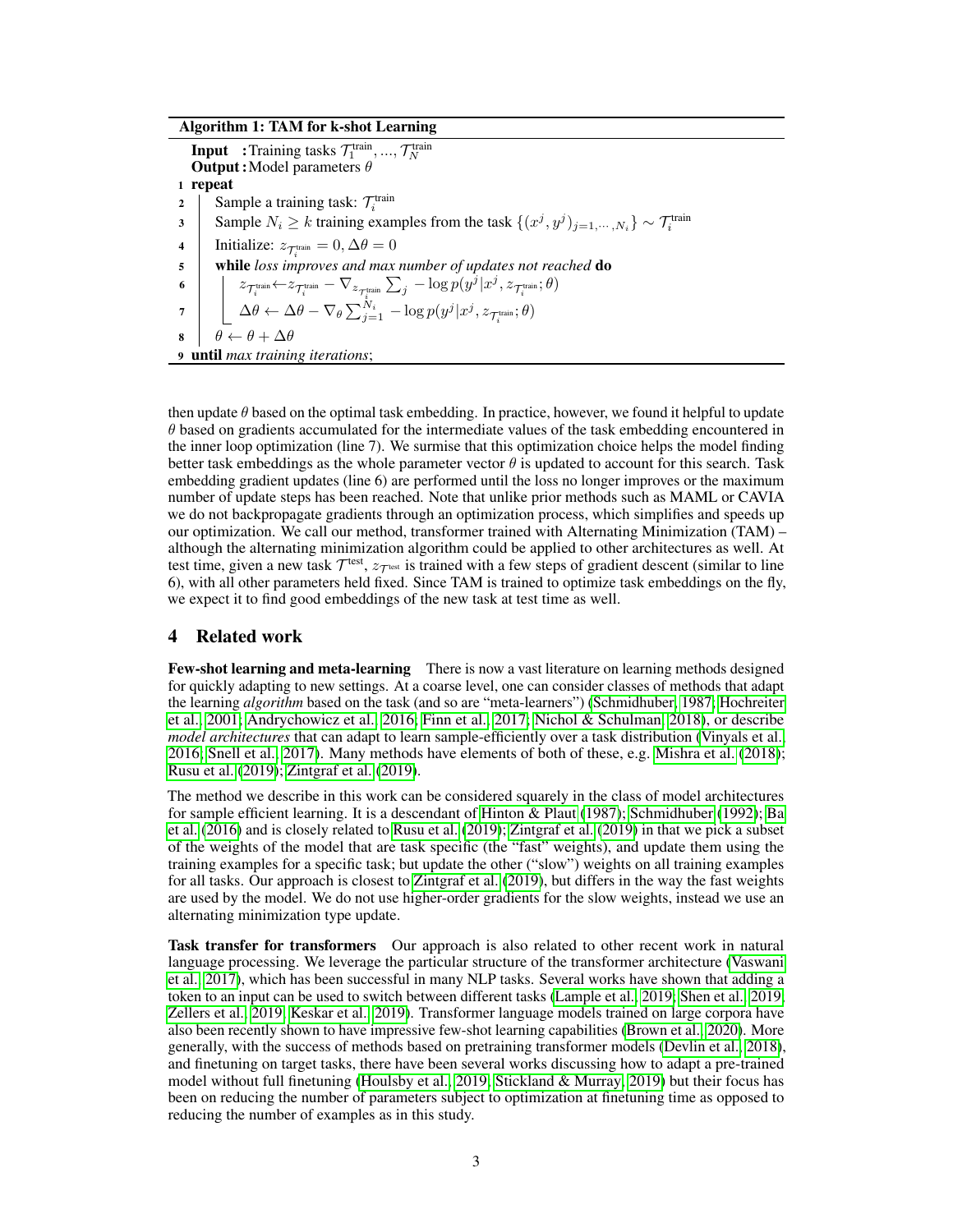Algorithm 1: TAM for k-shot Learning

**Input** : Training tasks  $\mathcal{T}_1^{\text{train}}, ..., \mathcal{T}_N^{\text{train}}$ <br>**Output:** Model parameters  $\theta$ 1 repeat 2 Sample a training task:  $\mathcal{T}_i^{\text{train}}$ 3 Sample  $N_i \ge k$  training examples from the task  $\{(x^j, y^j)_{j=1,\dots,N_i}\}\sim \mathcal{T}_i^{\text{train}}$ 4 | Initialize:  $z_{\mathcal{T}^{\text{train}}_i} = 0, \Delta \theta = 0$ 5 while *loss improves and max number of updates not reached* do  $\begin{equation} \begin{aligned} \mathfrak{q} \leftarrow \mathbb{Z}_{\mathcal{T}^{\text{train}}_i} \leftarrow & \mathcal{Z}_{\mathcal{T}^{\text{train}}_i} - \nabla_{z_{\mathcal{T}^{\text{train}}_i}} \sum_j -\log p(y^j | x^j, z_{\mathcal{T}^{\text{train}}_i}; \theta) \end{aligned} \right) \end{equation}$  $\sigma \quad \big| \quad \big\lfloor \ \Delta \theta \leftarrow \Delta \theta - \nabla_\theta \sum_{j=1}^{N_i} \ -log \ p(y^j|x^j,z_{\mathcal{T}^{\text{train}}_i};\theta) \big\rfloor$  $\theta \leftarrow \theta + \Delta \theta$ <sup>9</sup> until *max training iterations*;

<span id="page-2-0"></span>then update  $\theta$  based on the optimal task embedding. In practice, however, we found it helpful to update  $\theta$  based on gradients accumulated for the intermediate values of the task embedding encountered in the inner loop optimization (line 7). We surmise that this optimization choice helps the model finding better task embeddings as the whole parameter vector  $\theta$  is updated to account for this search. Task embedding gradient updates (line 6) are performed until the loss no longer improves or the maximum number of update steps has been reached. Note that unlike prior methods such as MAML or CAVIA we do not backpropagate gradients through an optimization process, which simplifies and speeds up our optimization. We call our method, transformer trained with Alternating Minimization (TAM) – although the alternating minimization algorithm could be applied to other architectures as well. At test time, given a new task  $\mathcal{T}^{\text{test}}, z_{\mathcal{T}^{\text{test}}}$  is trained with a few steps of gradient descent (similar to line 6), with all other parameters held fixed. Since TAM is trained to optimize task embeddings on the fly, we expect it to find good embeddings of the new task at test time as well.

# 4 Related work

Few-shot learning and meta-learning There is now a vast literature on learning methods designed for quickly adapting to new settings. At a coarse level, one can consider classes of methods that adapt the learning *algorithm* based on the task (and so are "meta-learners") [\(Schmidhuber, 1987;](#page-9-5) [Hochreiter](#page-8-10) [et al., 2001;](#page-8-10) [Andrychowicz et al., 2016;](#page-8-11) [Finn et al., 2017;](#page-8-7) [Nichol & Schulman, 2018\)](#page-9-6), or describe *model architectures* that can adapt to learn sample-efficiently over a task distribution [\(Vinyals et al.,](#page-9-7) [2016;](#page-9-7) [Snell et al., 2017\)](#page-9-8). Many methods have elements of both of these, e.g. [Mishra et al.](#page-9-9) [\(2018\)](#page-9-9); [Rusu et al.](#page-9-10) [\(2019\)](#page-9-10); [Zintgraf et al.](#page-9-4) [\(2019\)](#page-9-4).

The method we describe in this work can be considered squarely in the class of model architectures for sample efficient learning. It is a descendant of [Hinton & Plaut](#page-8-12) [\(1987\)](#page-8-12); [Schmidhuber](#page-9-11) [\(1992\)](#page-9-11); [Ba](#page-8-13) [et al.](#page-8-13) [\(2016\)](#page-8-13) and is closely related to [Rusu et al.](#page-9-10) [\(2019\)](#page-9-10); [Zintgraf et al.](#page-9-4) [\(2019\)](#page-9-4) in that we pick a subset of the weights of the model that are task specific (the "fast" weights), and update them using the training examples for a specific task; but update the other ("slow") weights on all training examples for all tasks. Our approach is closest to [Zintgraf et al.](#page-9-4) [\(2019\)](#page-9-4), but differs in the way the fast weights are used by the model. We do not use higher-order gradients for the slow weights, instead we use an alternating minimization type update.

Task transfer for transformers Our approach is also related to other recent work in natural language processing. We leverage the particular structure of the transformer architecture [\(Vaswani](#page-9-0) [et al., 2017\)](#page-9-0), which has been successful in many NLP tasks. Several works have shown that adding a token to an input can be used to switch between different tasks [\(Lample et al., 2019;](#page-8-4) [Shen et al., 2019;](#page-9-2) [Zellers et al., 2019;](#page-9-3) [Keskar et al., 2019\)](#page-8-5). Transformer language models trained on large corpora have also been recently shown to have impressive few-shot learning capabilities [\(Brown et al., 2020\)](#page-8-14). More generally, with the success of methods based on pretraining transformer models [\(Devlin et al., 2018\)](#page-8-3), and finetuning on target tasks, there have been several works discussing how to adapt a pre-trained model without full finetuning [\(Houlsby et al., 2019;](#page-8-6) [Stickland & Murray, 2019\)](#page-9-12) but their focus has been on reducing the number of parameters subject to optimization at finetuning time as opposed to reducing the number of examples as in this study.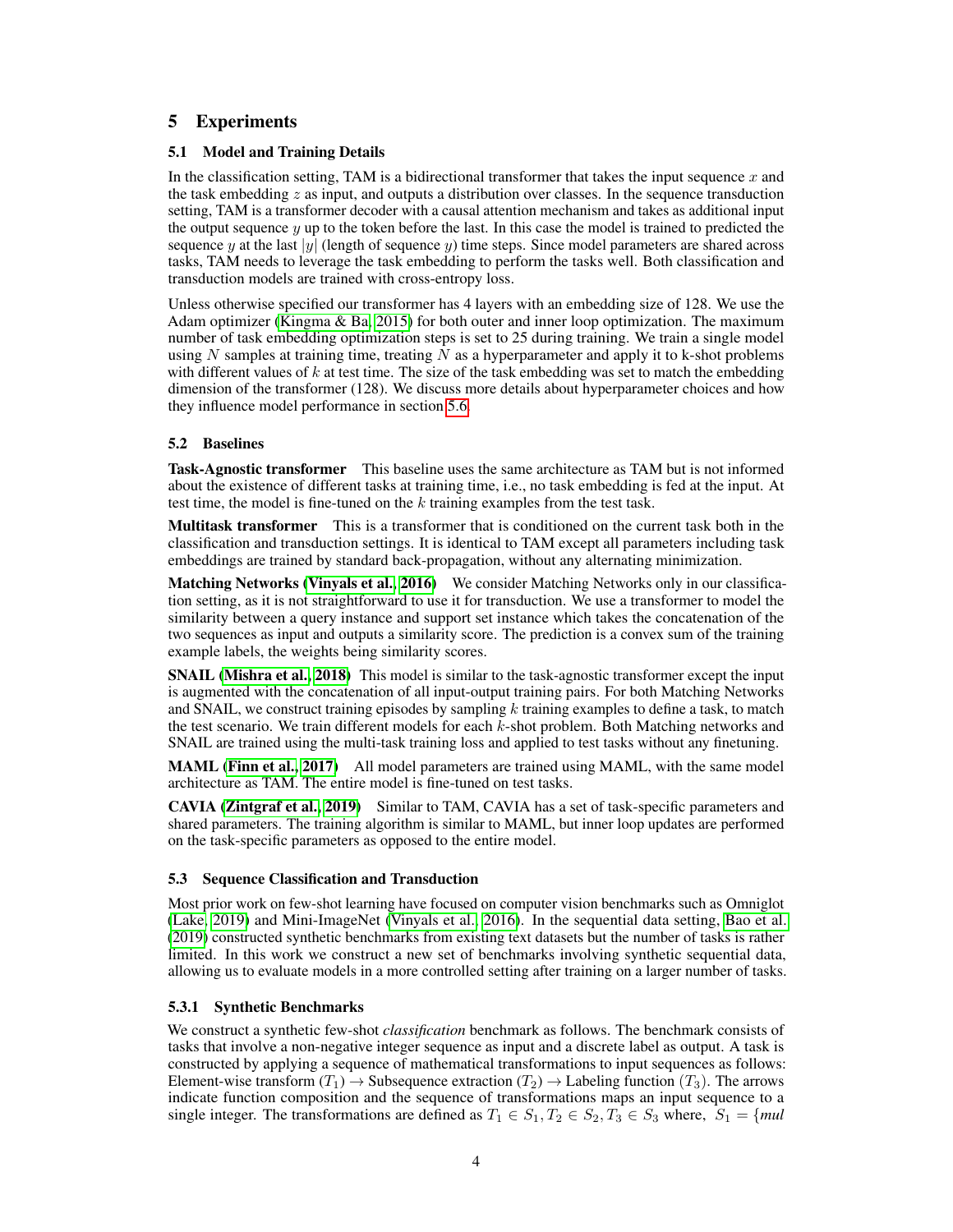# 5 Experiments

#### 5.1 Model and Training Details

In the classification setting, TAM is a bidirectional transformer that takes the input sequence x and the task embedding  $z$  as input, and outputs a distribution over classes. In the sequence transduction setting, TAM is a transformer decoder with a causal attention mechanism and takes as additional input the output sequence  $y$  up to the token before the last. In this case the model is trained to predicted the sequence y at the last |y| (length of sequence y) time steps. Since model parameters are shared across tasks, TAM needs to leverage the task embedding to perform the tasks well. Both classification and transduction models are trained with cross-entropy loss.

Unless otherwise specified our transformer has 4 layers with an embedding size of 128. We use the Adam optimizer [\(Kingma & Ba, 2015\)](#page-8-15) for both outer and inner loop optimization. The maximum number of task embedding optimization steps is set to 25 during training. We train a single model using  $N$  samples at training time, treating  $N$  as a hyperparameter and apply it to k-shot problems with different values of  $k$  at test time. The size of the task embedding was set to match the embedding dimension of the transformer (128). We discuss more details about hyperparameter choices and how they influence model performance in section [5.6.](#page-7-0)

#### 5.2 Baselines

Task-Agnostic transformer This baseline uses the same architecture as TAM but is not informed about the existence of different tasks at training time, i.e., no task embedding is fed at the input. At test time, the model is fine-tuned on the  $k$  training examples from the test task.

Multitask transformer This is a transformer that is conditioned on the current task both in the classification and transduction settings. It is identical to TAM except all parameters including task embeddings are trained by standard back-propagation, without any alternating minimization.

Matching Networks [\(Vinyals et al., 2016\)](#page-9-7) We consider Matching Networks only in our classification setting, as it is not straightforward to use it for transduction. We use a transformer to model the similarity between a query instance and support set instance which takes the concatenation of the two sequences as input and outputs a similarity score. The prediction is a convex sum of the training example labels, the weights being similarity scores.

SNAIL [\(Mishra et al., 2018\)](#page-9-9) This model is similar to the task-agnostic transformer except the input is augmented with the concatenation of all input-output training pairs. For both Matching Networks and SNAIL, we construct training episodes by sampling  $k$  training examples to define a task, to match the test scenario. We train different models for each  $k$ -shot problem. Both Matching networks and SNAIL are trained using the multi-task training loss and applied to test tasks without any finetuning.

MAML [\(Finn et al., 2017\)](#page-8-7) All model parameters are trained using MAML, with the same model architecture as TAM. The entire model is fine-tuned on test tasks.

CAVIA [\(Zintgraf et al., 2019\)](#page-9-4) Similar to TAM, CAVIA has a set of task-specific parameters and shared parameters. The training algorithm is similar to MAML, but inner loop updates are performed on the task-specific parameters as opposed to the entire model.

#### 5.3 Sequence Classification and Transduction

Most prior work on few-shot learning have focused on computer vision benchmarks such as Omniglot [\(Lake, 2019\)](#page-8-16) and Mini-ImageNet [\(Vinyals et al., 2016\)](#page-9-7). In the sequential data setting, [Bao et al.](#page-8-17) [\(2019\)](#page-8-17) constructed synthetic benchmarks from existing text datasets but the number of tasks is rather limited. In this work we construct a new set of benchmarks involving synthetic sequential data, allowing us to evaluate models in a more controlled setting after training on a larger number of tasks.

#### <span id="page-3-0"></span>5.3.1 Synthetic Benchmarks

We construct a synthetic few-shot *classification* benchmark as follows. The benchmark consists of tasks that involve a non-negative integer sequence as input and a discrete label as output. A task is constructed by applying a sequence of mathematical transformations to input sequences as follows: Element-wise transform  $(T_1) \to$  Subsequence extraction  $(T_2) \to$  Labeling function  $(T_3)$ . The arrows indicate function composition and the sequence of transformations maps an input sequence to a single integer. The transformations are defined as  $T_1 \in S_1, T_2 \in S_2, T_3 \in S_3$  where,  $S_1 = \{mul\}$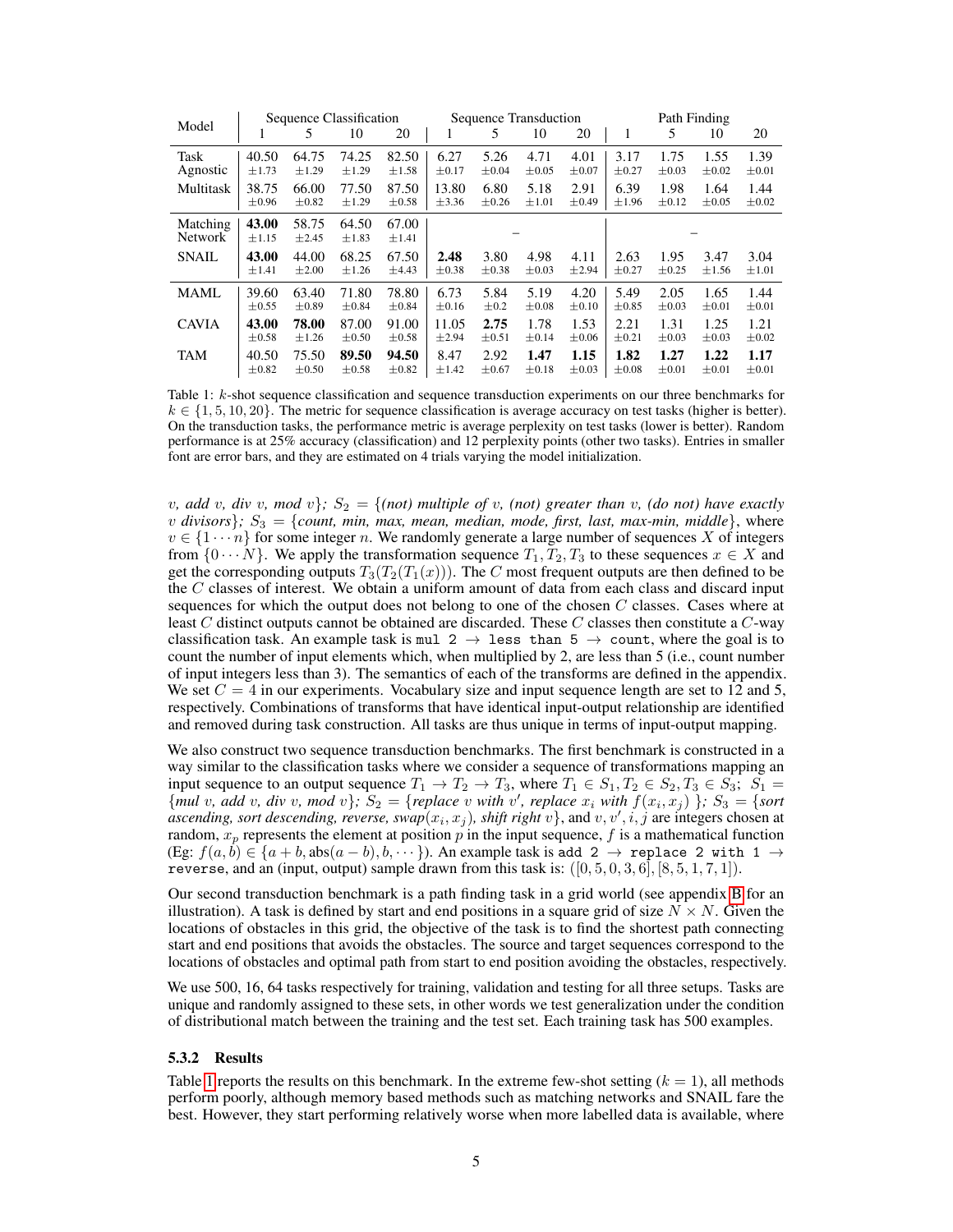<span id="page-4-0"></span>

|                                                                                                                            |                     | Sequence Classification |                     |                     |            | Sequence Transduction |            |            | Path Finding |            |            |            |  |  |  |  |
|----------------------------------------------------------------------------------------------------------------------------|---------------------|-------------------------|---------------------|---------------------|------------|-----------------------|------------|------------|--------------|------------|------------|------------|--|--|--|--|
| Model<br>Task<br>Agnostic<br>Multitask<br>Matching<br><b>Network</b><br><b>SNAIL</b><br><b>MAML</b><br><b>CAVIA</b><br>TAM | 5<br>1              |                         | 10                  | 20                  |            | 5                     | 10         | 20         | 1            | 5          | 10         | 20         |  |  |  |  |
|                                                                                                                            | 40.50               | 64.75                   | 74.25               | 82.50               | 6.27       | 5.26                  | 4.71       | 4.01       | 3.17         | 1.75       | 1.55       | 1.39       |  |  |  |  |
|                                                                                                                            | $\pm 1.73$          | $\pm 1.29$              | $\pm 1.29$          | ±1.58               | $\pm 0.17$ | $\pm 0.04$            | $\pm 0.05$ | $\pm 0.07$ | $\pm 0.27$   | $\pm 0.03$ | $\pm 0.02$ | $\pm 0.01$ |  |  |  |  |
|                                                                                                                            | 38.75               | 66.00                   | 77.50               | 87.50               | 13.80      | 6.80                  | 5.18       | 2.91       | 6.39         | 1.98       | 1.64       | 1.44       |  |  |  |  |
|                                                                                                                            | $\pm 0.96$          | $\pm 0.82$              | $\pm 1.29$          | $\pm 0.58$          | $\pm$ 3.36 | $\pm 0.26$            | $\pm 1.01$ | $\pm 0.49$ | $\pm 1.96$   | $\pm 0.12$ | $\pm 0.05$ | $\pm 0.02$ |  |  |  |  |
|                                                                                                                            | 43.00<br>$\pm 1.15$ | 58.75<br>$\pm 2.45$     | 64.50<br>$\pm 1.83$ | 67.00<br>$\pm 1.41$ |            |                       |            |            |              |            |            |            |  |  |  |  |
|                                                                                                                            | 43.00               | 44.00                   | 68.25               | 67.50               | 2.48       | 3.80                  | 4.98       | 4.11       | 2.63         | 1.95       | 3.47       | 3.04       |  |  |  |  |
|                                                                                                                            | $\pm 1.41$          | $\pm 2.00$              | $\pm 1.26$          | ±4.43               | $\pm 0.38$ | $\pm 0.38$            | $\pm 0.03$ | $\pm 2.94$ | $\pm 0.27$   | $\pm 0.25$ | ±1.56      | $\pm 1.01$ |  |  |  |  |
|                                                                                                                            | 39.60               | 63.40                   | 71.80               | 78.80               | 6.73       | 5.84                  | 5.19       | 4.20       | 5.49         | 2.05       | 1.65       | 1.44       |  |  |  |  |
|                                                                                                                            | $\pm 0.55$          | $\pm 0.89$              | $\pm 0.84$          | $\pm 0.84$          | $\pm 0.16$ | $\pm 0.2$             | $\pm 0.08$ | $\pm 0.10$ | $\pm 0.85$   | $\pm 0.03$ | $\pm 0.01$ | $\pm 0.01$ |  |  |  |  |
|                                                                                                                            | 43.00               | 78.00                   | 87.00               | 91.00               | 11.05      | 2.75                  | 1.78       | 1.53       | 2.21         | 1.31       | 1.25       | 1.21       |  |  |  |  |
|                                                                                                                            | $\pm 0.58$          | $\pm 1.26$              | $\pm 0.50$          | $\pm 0.58$          | $\pm 2.94$ | $\pm 0.51$            | $\pm 0.14$ | $\pm 0.06$ | $\pm 0.21$   | $\pm 0.03$ | $\pm 0.03$ | $\pm 0.02$ |  |  |  |  |
|                                                                                                                            | 40.50               | 75.50                   | 89.50               | 94.50               | 8.47       | 2.92                  | 1.47       | 1.15       | 1.82         | 1.27       | 1.22       | 1.17       |  |  |  |  |
|                                                                                                                            | $\pm 0.82$          | $\pm 0.50$              | $\pm 0.58$          | $\pm 0.82$          | ±1.42      | $\pm 0.67$            | $\pm 0.18$ | $\pm 0.03$ | $\pm 0.08$   | $\pm 0.01$ | $\pm 0.01$ | $\pm 0.01$ |  |  |  |  |

Table 1: k-shot sequence classification and sequence transduction experiments on our three benchmarks for  $k \in \{1, 5, 10, 20\}$ . The metric for sequence classification is average accuracy on test tasks (higher is better). On the transduction tasks, the performance metric is average perplexity on test tasks (lower is better). Random performance is at 25% accuracy (classification) and 12 perplexity points (other two tasks). Entries in smaller font are error bars, and they are estimated on 4 trials varying the model initialization.

*v, add v, div v, mod v* $\}$ *;*  $S_2 = \{(not) \text{ multiple of } v, \text{ (not) greater than } v, \text{ (do not) have exactly } \}$  $v$  *divisors*};  $S_3 = \{$ *count, min, max, mean, median, mode, first, last, max-min, middle*}, where  $v \in \{1 \cdots n\}$  for some integer n. We randomly generate a large number of sequences X of integers from  $\{0 \cdots N\}$ . We apply the transformation sequence  $T_1, T_2, T_3$  to these sequences  $x \in X$  and get the corresponding outputs  $T_3(T_2(T_1(x)))$ . The C most frequent outputs are then defined to be the C classes of interest. We obtain a uniform amount of data from each class and discard input sequences for which the output does not belong to one of the chosen  $C$  classes. Cases where at least C distinct outputs cannot be obtained are discarded. These C classes then constitute a  $C$ -way classification task. An example task is mul 2  $\rightarrow$  less than 5  $\rightarrow$  count, where the goal is to count the number of input elements which, when multiplied by 2, are less than 5 (i.e., count number of input integers less than 3). The semantics of each of the transforms are defined in the appendix. We set  $C = 4$  in our experiments. Vocabulary size and input sequence length are set to 12 and 5, respectively. Combinations of transforms that have identical input-output relationship are identified and removed during task construction. All tasks are thus unique in terms of input-output mapping.

We also construct two sequence transduction benchmarks. The first benchmark is constructed in a way similar to the classification tasks where we consider a sequence of transformations mapping an input sequence to an output sequence  $T_1 \to T_2 \to T_3$ , where  $T_1 \in S_1, T_2 \in S_2, T_3 \in S_3$ ;  $S_1 =$  ${mul v, add v, div v, mod v};$   $S_2 = {replace v with v', replace x_i with f(x_i, x_j)};$   $S_3 = {sort$ ascending, sort descending, reverse, swap $(x_i, x_j)$ , shift right  $v$ , and  $v, v', i, j$  are integers chosen at random,  $x_p$  represents the element at position p in the input sequence, f is a mathematical function (Eg:  $f(a, b) \in \{a + b, \text{abs}(a - b), b, \dots\}$ ). An example task is add  $2 \rightarrow \text{replace } 2 \text{ with } 1 \rightarrow \emptyset$ reverse, and an (input, output) sample drawn from this task is:  $([0, 5, 0, 3, 6], [8, 5, 1, 7, 1]).$ 

Our second transduction benchmark is a path finding task in a grid world (see appendix [B](#page-11-0) for an illustration). A task is defined by start and end positions in a square grid of size  $N \times N$ . Given the locations of obstacles in this grid, the objective of the task is to find the shortest path connecting start and end positions that avoids the obstacles. The source and target sequences correspond to the locations of obstacles and optimal path from start to end position avoiding the obstacles, respectively.

We use 500, 16, 64 tasks respectively for training, validation and testing for all three setups. Tasks are unique and randomly assigned to these sets, in other words we test generalization under the condition of distributional match between the training and the test set. Each training task has 500 examples.

#### 5.3.2 Results

Table [1](#page-4-0) reports the results on this benchmark. In the extreme few-shot setting  $(k = 1)$ , all methods perform poorly, although memory based methods such as matching networks and SNAIL fare the best. However, they start performing relatively worse when more labelled data is available, where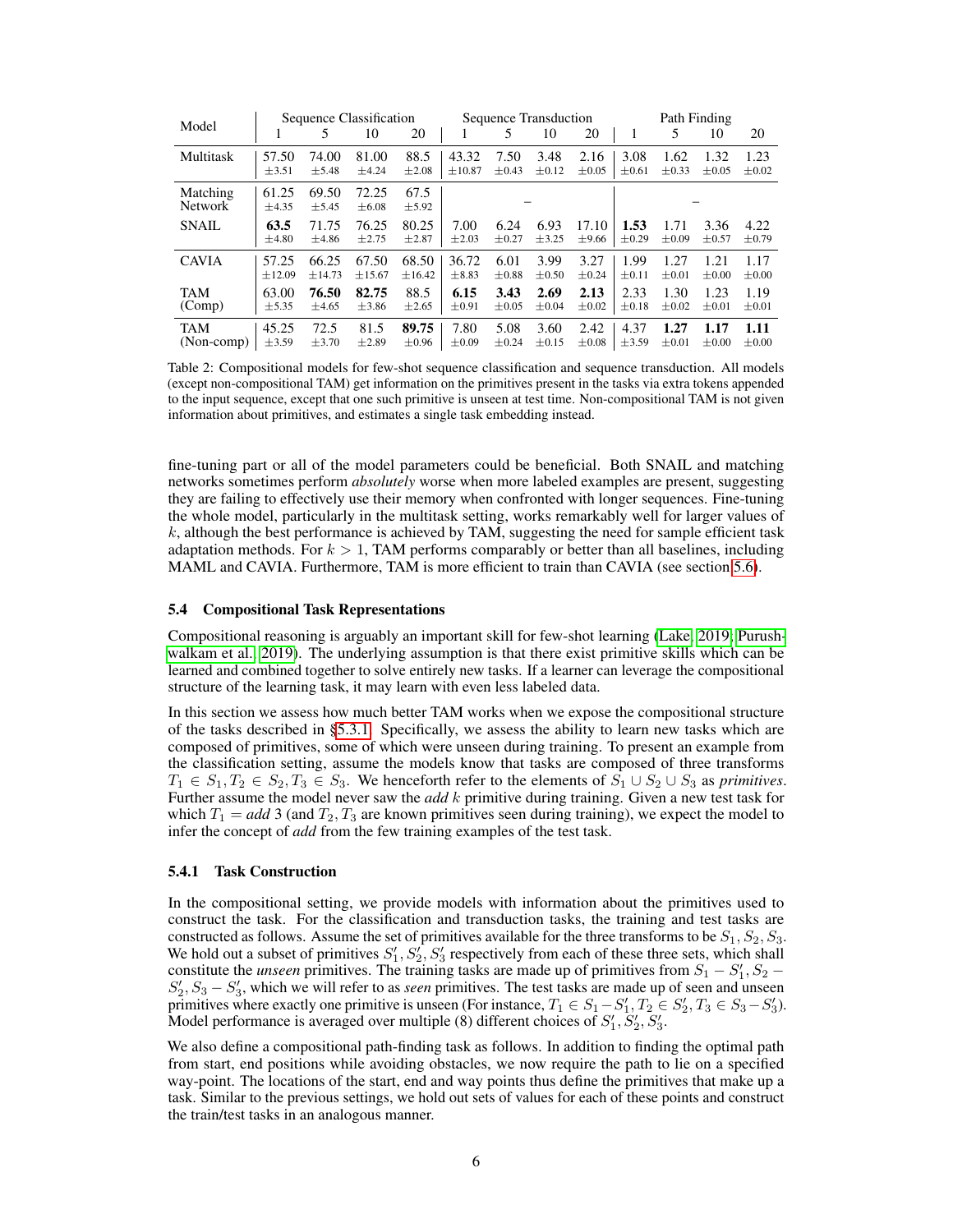<span id="page-5-0"></span>

| Model                      |                                                                                    | Sequence Classification |                                                                                        |                    |            |            | Sequence Transduction |                    | Path Finding       |            |            |            |  |  |  |  |
|----------------------------|------------------------------------------------------------------------------------|-------------------------|----------------------------------------------------------------------------------------|--------------------|------------|------------|-----------------------|--------------------|--------------------|------------|------------|------------|--|--|--|--|
|                            | л.                                                                                 | 5                       | 10                                                                                     | 20                 |            | 5          | 10                    | 20                 |                    | 5          | 10         | 20         |  |  |  |  |
| Multitask                  | 88.5<br>57.50<br>81.00<br>74.00<br>$\pm 3.51$<br>±4.24<br>$\pm 2.08$<br>$\pm$ 5.48 |                         | 43.32<br>7.50<br>3.48<br>2.16<br>$\pm 0.12$<br>$\pm 0.05$<br>$\pm 0.43$<br>$\pm 10.87$ |                    |            |            | 3.08<br>$\pm 0.61$    | 1.62<br>$\pm 0.33$ | 1.23<br>$\pm 0.02$ |            |            |            |  |  |  |  |
| Matching<br><b>Network</b> | 61.25<br>±4.35                                                                     | 69.50<br>±5.45          | 72.25<br>$\pm 6.08$                                                                    | 67.5<br>$\pm$ 5.92 |            |            |                       |                    |                    |            |            |            |  |  |  |  |
| <b>SNAIL</b>               | 63.5                                                                               | 71.75                   | 76.25                                                                                  | 80.25              | 7.00       | 6.24       | 6.93                  | 17.10              | 1.53               | 1.71       | 3.36       | 4.22       |  |  |  |  |
|                            | $\pm 4.80$                                                                         | ±4.86                   | $\pm 2.75$                                                                             | $\pm 2.87$         | $\pm 2.03$ | $\pm 0.27$ | ±3.25                 | $\pm$ 9.66         | $\pm 0.29$         | $\pm 0.09$ | $\pm 0.57$ | $\pm 0.79$ |  |  |  |  |
| <b>CAVIA</b>               | 57.25                                                                              | 66.25                   | 67.50                                                                                  | 68.50              | 36.72      | 6.01       | 3.99                  | 3.27               | 1.99               | 1.27       | 1.21       | 1.17       |  |  |  |  |
|                            | ±12.09                                                                             | ±14.73                  | ±15.67                                                                                 | ±16.42             | $\pm 8.83$ | $\pm 0.88$ | $\pm 0.50$            | $\pm 0.24$         | $\pm 0.11$         | $\pm 0.01$ | $\pm 0.00$ | $\pm 0.00$ |  |  |  |  |
| <b>TAM</b>                 | 63.00                                                                              | 76.50                   | 82.75                                                                                  | 88.5               | 6.15       | 3.43       | 2.69                  | 2.13               | 2.33               | 1.30       | 1.23       | 1.19       |  |  |  |  |
| (Comp)                     | $\pm$ 5.35                                                                         | ±4.65                   | $\pm$ 3.86                                                                             | $\pm 2.65$         | $\pm 0.91$ | $\pm 0.05$ | $\pm 0.04$            | $\pm 0.02$         | $\pm 0.18$         | $\pm 0.02$ | $\pm 0.01$ | $\pm 0.01$ |  |  |  |  |
| <b>TAM</b>                 | 45.25                                                                              | 72.5                    | 81.5                                                                                   | 89.75              | 7.80       | 5.08       | 3.60                  | 2.42               | 4.37               | 1.27       | 1.17       | 1.11       |  |  |  |  |
| (Non-comp)                 | $\pm$ 3.59                                                                         | $\pm$ 3.70              | $\pm 2.89$                                                                             | $\pm 0.96$         | $\pm 0.09$ | $\pm 0.24$ | $\pm 0.15$            | $\pm 0.08$         | $\pm$ 3.59         | $\pm 0.01$ | $\pm 0.00$ | $\pm 0.00$ |  |  |  |  |

Table 2: Compositional models for few-shot sequence classification and sequence transduction. All models (except non-compositional TAM) get information on the primitives present in the tasks via extra tokens appended to the input sequence, except that one such primitive is unseen at test time. Non-compositional TAM is not given information about primitives, and estimates a single task embedding instead.

fine-tuning part or all of the model parameters could be beneficial. Both SNAIL and matching networks sometimes perform *absolutely* worse when more labeled examples are present, suggesting they are failing to effectively use their memory when confronted with longer sequences. Fine-tuning the whole model, particularly in the multitask setting, works remarkably well for larger values of  $k$ , although the best performance is achieved by TAM, suggesting the need for sample efficient task adaptation methods. For  $k > 1$ , TAM performs comparably or better than all baselines, including MAML and CAVIA. Furthermore, TAM is more efficient to train than CAVIA (see section [5.6\)](#page-7-0).

#### 5.4 Compositional Task Representations

Compositional reasoning is arguably an important skill for few-shot learning [\(Lake, 2019;](#page-8-16) [Purush](#page-9-13)[walkam et al., 2019\)](#page-9-13). The underlying assumption is that there exist primitive skills which can be learned and combined together to solve entirely new tasks. If a learner can leverage the compositional structure of the learning task, it may learn with even less labeled data.

In this section we assess how much better TAM works when we expose the compositional structure of the tasks described in [§5.3.1.](#page-3-0) Specifically, we assess the ability to learn new tasks which are composed of primitives, some of which were unseen during training. To present an example from the classification setting, assume the models know that tasks are composed of three transforms  $T_1 \in S_1, T_2 \in S_2, T_3 \in S_3$ . We henceforth refer to the elements of  $S_1 \cup S_2 \cup S_3$  as *primitives*. Further assume the model never saw the *add* k primitive during training. Given a new test task for which  $T_1 = add\ 3$  (and  $T_2, T_3$  are known primitives seen during training), we expect the model to infer the concept of *add* from the few training examples of the test task.

#### 5.4.1 Task Construction

In the compositional setting, we provide models with information about the primitives used to construct the task. For the classification and transduction tasks, the training and test tasks are constructed as follows. Assume the set of primitives available for the three transforms to be  $S_1, S_2, S_3$ . We hold out a subset of primitives  $S'_1, S'_2, S'_3$  respectively from each of these three sets, which shall constitute the *unseen* primitives. The training tasks are made up of primitives from  $S_1 - S_1'$ ,  $S_2$  –  $S'_2$ ,  $S_3 - S'_3$ , which we will refer to as *seen* primitives. The test tasks are made up of seen and unseen primitives where exactly one primitive is unseen (For instance,  $T_1 \in S_1 - S'_1$ ,  $T_2 \in S'_2$ ,  $T_3 \in S_3 - S'_3$ ). Model performance is averaged over multiple (8) different choices of  $S'_1$ ,  $S'_2$ ,  $S'_3$ .

We also define a compositional path-finding task as follows. In addition to finding the optimal path from start, end positions while avoiding obstacles, we now require the path to lie on a specified way-point. The locations of the start, end and way points thus define the primitives that make up a task. Similar to the previous settings, we hold out sets of values for each of these points and construct the train/test tasks in an analogous manner.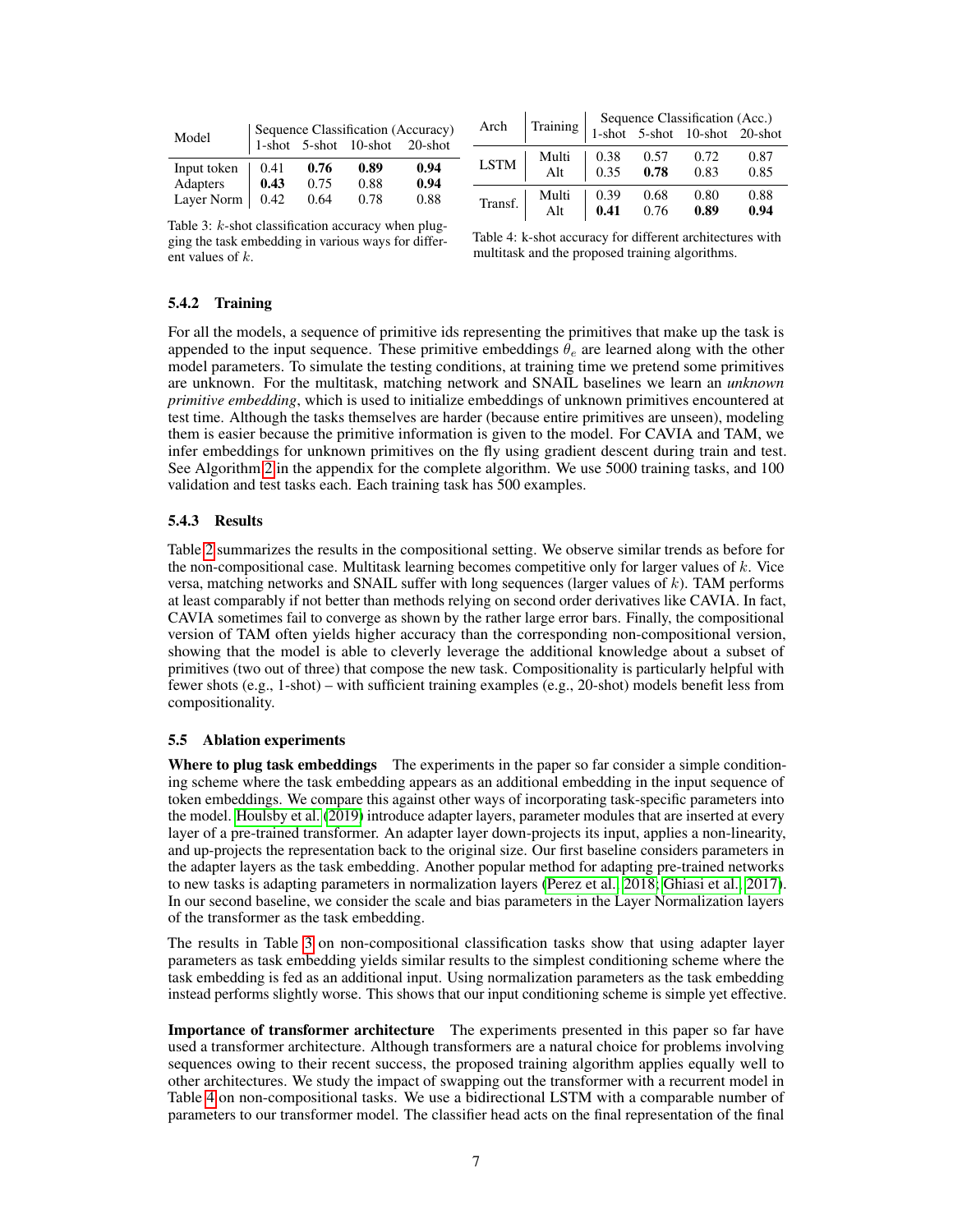<span id="page-6-0"></span>

| Model       |      |      | Sequence Classification (Accuracy)<br>1-shot 5-shot 10-shot 20-shot |      |  |  |  |  |
|-------------|------|------|---------------------------------------------------------------------|------|--|--|--|--|
| Input token | 0.41 | 0.76 | 0.89                                                                | 0.94 |  |  |  |  |
| Adapters    | 0.43 | 0.75 | 0.88                                                                | 0.94 |  |  |  |  |
| Layer Norm  | 0.42 | 0.64 | 0.78                                                                | 0.88 |  |  |  |  |

| Arch        |          |      |      |                                                                 |      |
|-------------|----------|------|------|-----------------------------------------------------------------|------|
|             | Training |      |      | Sequence Classification (Acc.)<br>1-shot 5-shot 10-shot 20-shot |      |
| <b>LSTM</b> | Multi    | 0.38 | 0.57 | 0.72                                                            | 0.87 |
|             | Alt      | 0.35 | 0.78 | 0.83                                                            | 0.85 |
| Transf.     | Multi    | 0.39 | 0.68 | 0.80                                                            | 0.88 |
|             | Alt      | 0.41 | 0.76 | 0.89                                                            | 0.94 |

Table 3: k-shot classification accuracy when plugging the task embedding in various ways for different values of k.

| Table 4: k-shot accuracy for different architectures with |  |
|-----------------------------------------------------------|--|
| multitask and the proposed training algorithms.           |  |

#### 5.4.2 Training

For all the models, a sequence of primitive ids representing the primitives that make up the task is appended to the input sequence. These primitive embeddings  $\theta_e$  are learned along with the other model parameters. To simulate the testing conditions, at training time we pretend some primitives are unknown. For the multitask, matching network and SNAIL baselines we learn an *unknown primitive embedding*, which is used to initialize embeddings of unknown primitives encountered at test time. Although the tasks themselves are harder (because entire primitives are unseen), modeling them is easier because the primitive information is given to the model. For CAVIA and TAM, we infer embeddings for unknown primitives on the fly using gradient descent during train and test. See Algorithm [2](#page-12-0) in the appendix for the complete algorithm. We use 5000 training tasks, and 100 validation and test tasks each. Each training task has 500 examples.

#### 5.4.3 Results

Table [2](#page-5-0) summarizes the results in the compositional setting. We observe similar trends as before for the non-compositional case. Multitask learning becomes competitive only for larger values of  $k$ . Vice versa, matching networks and SNAIL suffer with long sequences (larger values of  $k$ ). TAM performs at least comparably if not better than methods relying on second order derivatives like CAVIA. In fact, CAVIA sometimes fail to converge as shown by the rather large error bars. Finally, the compositional version of TAM often yields higher accuracy than the corresponding non-compositional version, showing that the model is able to cleverly leverage the additional knowledge about a subset of primitives (two out of three) that compose the new task. Compositionality is particularly helpful with fewer shots (e.g., 1-shot) – with sufficient training examples (e.g., 20-shot) models benefit less from compositionality.

#### 5.5 Ablation experiments

Where to plug task embeddings The experiments in the paper so far consider a simple conditioning scheme where the task embedding appears as an additional embedding in the input sequence of token embeddings. We compare this against other ways of incorporating task-specific parameters into the model. [Houlsby et al.](#page-8-6) [\(2019\)](#page-8-6) introduce adapter layers, parameter modules that are inserted at every layer of a pre-trained transformer. An adapter layer down-projects its input, applies a non-linearity, and up-projects the representation back to the original size. Our first baseline considers parameters in the adapter layers as the task embedding. Another popular method for adapting pre-trained networks to new tasks is adapting parameters in normalization layers [\(Perez et al., 2018;](#page-9-14) [Ghiasi et al., 2017\)](#page-8-18). In our second baseline, we consider the scale and bias parameters in the Layer Normalization layers of the transformer as the task embedding.

The results in Table [3](#page-6-0) on non-compositional classification tasks show that using adapter layer parameters as task embedding yields similar results to the simplest conditioning scheme where the task embedding is fed as an additional input. Using normalization parameters as the task embedding instead performs slightly worse. This shows that our input conditioning scheme is simple yet effective.

Importance of transformer architecture The experiments presented in this paper so far have used a transformer architecture. Although transformers are a natural choice for problems involving sequences owing to their recent success, the proposed training algorithm applies equally well to other architectures. We study the impact of swapping out the transformer with a recurrent model in Table [4](#page-6-0) on non-compositional tasks. We use a bidirectional LSTM with a comparable number of parameters to our transformer model. The classifier head acts on the final representation of the final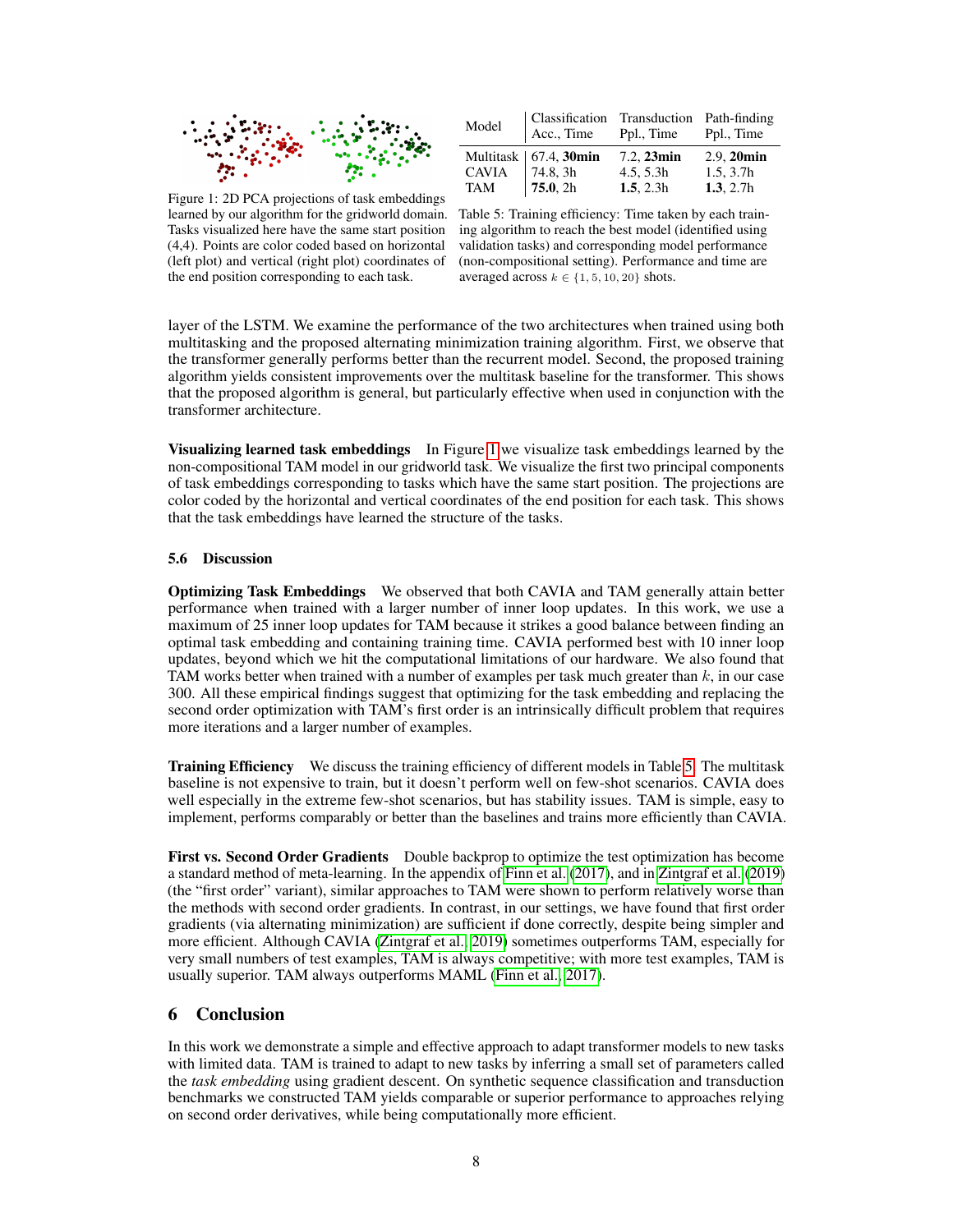<span id="page-7-1"></span>

| Model | Classification Transduction Path-finding<br>$ $ Acc., Time Ppl., Time |               | Ppl., Time    |
|-------|-----------------------------------------------------------------------|---------------|---------------|
|       | Multitask   $67.4$ , 30min                                            | $7.2, 23$ min | $2.9, 20$ min |
|       |                                                                       | 4.5, 5.3h     | 1.5, 3.7h     |
|       | CAVIA $\begin{vmatrix} 74.8 & 3h \\ 75.0 & 2h \end{vmatrix}$          | 1.5, 2.3h     | 1.3, 2.7h     |

Figure 1: 2D PCA projections of task embeddings learned by our algorithm for the gridworld domain. Tasks visualized here have the same start position (4,4). Points are color coded based on horizontal (left plot) and vertical (right plot) coordinates of the end position corresponding to each task.

Table 5: Training efficiency: Time taken by each training algorithm to reach the best model (identified using validation tasks) and corresponding model performance (non-compositional setting). Performance and time are averaged across  $k \in \{1, 5, 10, 20\}$  shots.

layer of the LSTM. We examine the performance of the two architectures when trained using both multitasking and the proposed alternating minimization training algorithm. First, we observe that the transformer generally performs better than the recurrent model. Second, the proposed training algorithm yields consistent improvements over the multitask baseline for the transformer. This shows that the proposed algorithm is general, but particularly effective when used in conjunction with the transformer architecture.

Visualizing learned task embeddings In Figure [1](#page-7-1) we visualize task embeddings learned by the non-compositional TAM model in our gridworld task. We visualize the first two principal components of task embeddings corresponding to tasks which have the same start position. The projections are color coded by the horizontal and vertical coordinates of the end position for each task. This shows that the task embeddings have learned the structure of the tasks.

#### <span id="page-7-0"></span>5.6 Discussion

Optimizing Task Embeddings We observed that both CAVIA and TAM generally attain better performance when trained with a larger number of inner loop updates. In this work, we use a maximum of 25 inner loop updates for TAM because it strikes a good balance between finding an optimal task embedding and containing training time. CAVIA performed best with 10 inner loop updates, beyond which we hit the computational limitations of our hardware. We also found that TAM works better when trained with a number of examples per task much greater than  $k$ , in our case 300. All these empirical findings suggest that optimizing for the task embedding and replacing the second order optimization with TAM's first order is an intrinsically difficult problem that requires more iterations and a larger number of examples.

**Training Efficiency** We discuss the training efficiency of different models in Table [5.](#page-7-1) The multitask baseline is not expensive to train, but it doesn't perform well on few-shot scenarios. CAVIA does well especially in the extreme few-shot scenarios, but has stability issues. TAM is simple, easy to implement, performs comparably or better than the baselines and trains more efficiently than CAVIA.

First vs. Second Order Gradients Double backprop to optimize the test optimization has become a standard method of meta-learning. In the appendix of [Finn et al.](#page-8-7) [\(2017\)](#page-8-7), and in [Zintgraf et al.](#page-9-4) [\(2019\)](#page-9-4) (the "first order" variant), similar approaches to TAM were shown to perform relatively worse than the methods with second order gradients. In contrast, in our settings, we have found that first order gradients (via alternating minimization) are sufficient if done correctly, despite being simpler and more efficient. Although CAVIA [\(Zintgraf et al., 2019\)](#page-9-4) sometimes outperforms TAM, especially for very small numbers of test examples, TAM is always competitive; with more test examples, TAM is usually superior. TAM always outperforms MAML [\(Finn et al., 2017\)](#page-8-7).

#### 6 Conclusion

In this work we demonstrate a simple and effective approach to adapt transformer models to new tasks with limited data. TAM is trained to adapt to new tasks by inferring a small set of parameters called the *task embedding* using gradient descent. On synthetic sequence classification and transduction benchmarks we constructed TAM yields comparable or superior performance to approaches relying on second order derivatives, while being computationally more efficient.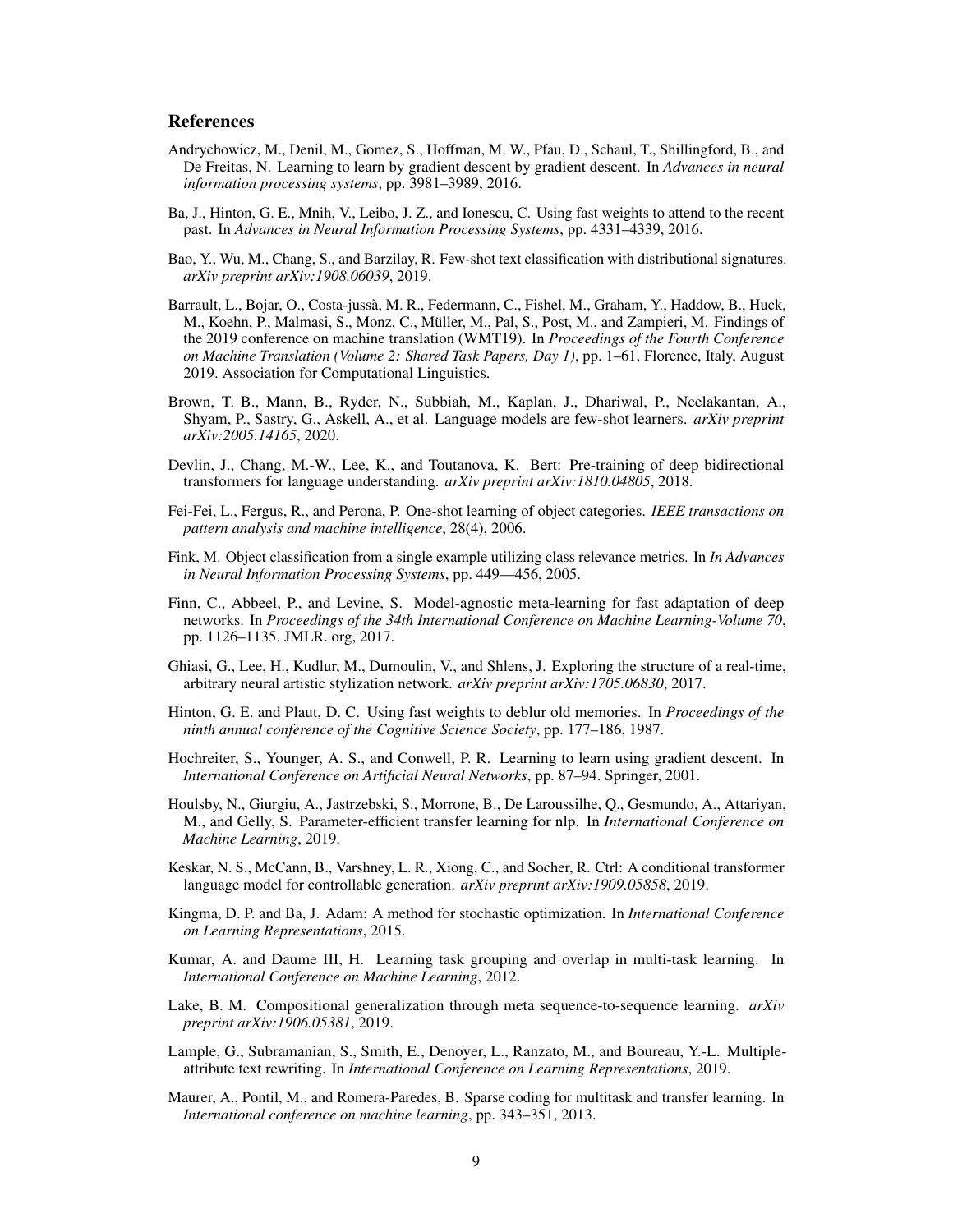#### References

- <span id="page-8-11"></span>Andrychowicz, M., Denil, M., Gomez, S., Hoffman, M. W., Pfau, D., Schaul, T., Shillingford, B., and De Freitas, N. Learning to learn by gradient descent by gradient descent. In *Advances in neural information processing systems*, pp. 3981–3989, 2016.
- <span id="page-8-13"></span>Ba, J., Hinton, G. E., Mnih, V., Leibo, J. Z., and Ionescu, C. Using fast weights to attend to the recent past. In *Advances in Neural Information Processing Systems*, pp. 4331–4339, 2016.
- <span id="page-8-17"></span>Bao, Y., Wu, M., Chang, S., and Barzilay, R. Few-shot text classification with distributional signatures. *arXiv preprint arXiv:1908.06039*, 2019.
- <span id="page-8-2"></span>Barrault, L., Bojar, O., Costa-jussa, M. R., Federmann, C., Fishel, M., Graham, Y., Haddow, B., Huck, ` M., Koehn, P., Malmasi, S., Monz, C., Müller, M., Pal, S., Post, M., and Zampieri, M. Findings of the 2019 conference on machine translation (WMT19). In *Proceedings of the Fourth Conference on Machine Translation (Volume 2: Shared Task Papers, Day 1)*, pp. 1–61, Florence, Italy, August 2019. Association for Computational Linguistics.
- <span id="page-8-14"></span>Brown, T. B., Mann, B., Ryder, N., Subbiah, M., Kaplan, J., Dhariwal, P., Neelakantan, A., Shyam, P., Sastry, G., Askell, A., et al. Language models are few-shot learners. *arXiv preprint arXiv:2005.14165*, 2020.
- <span id="page-8-3"></span>Devlin, J., Chang, M.-W., Lee, K., and Toutanova, K. Bert: Pre-training of deep bidirectional transformers for language understanding. *arXiv preprint arXiv:1810.04805*, 2018.
- <span id="page-8-1"></span>Fei-Fei, L., Fergus, R., and Perona, P. One-shot learning of object categories. *IEEE transactions on pattern analysis and machine intelligence*, 28(4), 2006.
- <span id="page-8-0"></span>Fink, M. Object classification from a single example utilizing class relevance metrics. In *In Advances in Neural Information Processing Systems*, pp. 449––456, 2005.
- <span id="page-8-7"></span>Finn, C., Abbeel, P., and Levine, S. Model-agnostic meta-learning for fast adaptation of deep networks. In *Proceedings of the 34th International Conference on Machine Learning-Volume 70*, pp. 1126–1135. JMLR. org, 2017.
- <span id="page-8-18"></span>Ghiasi, G., Lee, H., Kudlur, M., Dumoulin, V., and Shlens, J. Exploring the structure of a real-time, arbitrary neural artistic stylization network. *arXiv preprint arXiv:1705.06830*, 2017.
- <span id="page-8-12"></span>Hinton, G. E. and Plaut, D. C. Using fast weights to deblur old memories. In *Proceedings of the ninth annual conference of the Cognitive Science Society*, pp. 177–186, 1987.
- <span id="page-8-10"></span>Hochreiter, S., Younger, A. S., and Conwell, P. R. Learning to learn using gradient descent. In *International Conference on Artificial Neural Networks*, pp. 87–94. Springer, 2001.
- <span id="page-8-6"></span>Houlsby, N., Giurgiu, A., Jastrzebski, S., Morrone, B., De Laroussilhe, Q., Gesmundo, A., Attariyan, M., and Gelly, S. Parameter-efficient transfer learning for nlp. In *International Conference on Machine Learning*, 2019.
- <span id="page-8-5"></span>Keskar, N. S., McCann, B., Varshney, L. R., Xiong, C., and Socher, R. Ctrl: A conditional transformer language model for controllable generation. *arXiv preprint arXiv:1909.05858*, 2019.
- <span id="page-8-15"></span>Kingma, D. P. and Ba, J. Adam: A method for stochastic optimization. In *International Conference on Learning Representations*, 2015.
- <span id="page-8-9"></span>Kumar, A. and Daume III, H. Learning task grouping and overlap in multi-task learning. In *International Conference on Machine Learning*, 2012.
- <span id="page-8-16"></span>Lake, B. M. Compositional generalization through meta sequence-to-sequence learning. *arXiv preprint arXiv:1906.05381*, 2019.
- <span id="page-8-4"></span>Lample, G., Subramanian, S., Smith, E., Denoyer, L., Ranzato, M., and Boureau, Y.-L. Multipleattribute text rewriting. In *International Conference on Learning Representations*, 2019.
- <span id="page-8-8"></span>Maurer, A., Pontil, M., and Romera-Paredes, B. Sparse coding for multitask and transfer learning. In *International conference on machine learning*, pp. 343–351, 2013.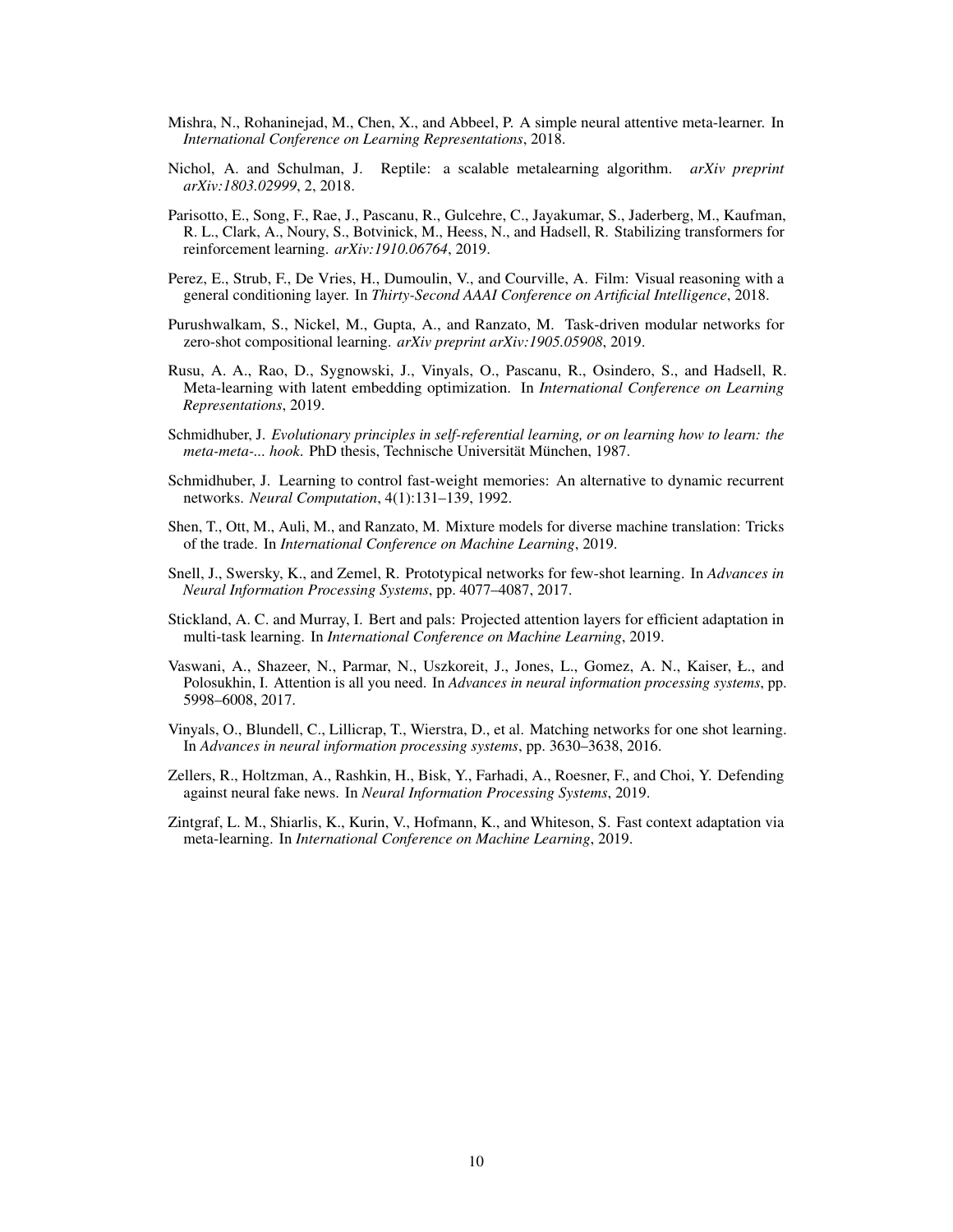- <span id="page-9-9"></span>Mishra, N., Rohaninejad, M., Chen, X., and Abbeel, P. A simple neural attentive meta-learner. In *International Conference on Learning Representations*, 2018.
- <span id="page-9-6"></span>Nichol, A. and Schulman, J. Reptile: a scalable metalearning algorithm. *arXiv preprint arXiv:1803.02999*, 2, 2018.
- <span id="page-9-1"></span>Parisotto, E., Song, F., Rae, J., Pascanu, R., Gulcehre, C., Jayakumar, S., Jaderberg, M., Kaufman, R. L., Clark, A., Noury, S., Botvinick, M., Heess, N., and Hadsell, R. Stabilizing transformers for reinforcement learning. *arXiv:1910.06764*, 2019.
- <span id="page-9-14"></span>Perez, E., Strub, F., De Vries, H., Dumoulin, V., and Courville, A. Film: Visual reasoning with a general conditioning layer. In *Thirty-Second AAAI Conference on Artificial Intelligence*, 2018.
- <span id="page-9-13"></span>Purushwalkam, S., Nickel, M., Gupta, A., and Ranzato, M. Task-driven modular networks for zero-shot compositional learning. *arXiv preprint arXiv:1905.05908*, 2019.
- <span id="page-9-10"></span>Rusu, A. A., Rao, D., Sygnowski, J., Vinyals, O., Pascanu, R., Osindero, S., and Hadsell, R. Meta-learning with latent embedding optimization. In *International Conference on Learning Representations*, 2019.
- <span id="page-9-5"></span>Schmidhuber, J. *Evolutionary principles in self-referential learning, or on learning how to learn: the meta-meta-... hook.* PhD thesis, Technische Universität München, 1987.
- <span id="page-9-11"></span>Schmidhuber, J. Learning to control fast-weight memories: An alternative to dynamic recurrent networks. *Neural Computation*, 4(1):131–139, 1992.
- <span id="page-9-2"></span>Shen, T., Ott, M., Auli, M., and Ranzato, M. Mixture models for diverse machine translation: Tricks of the trade. In *International Conference on Machine Learning*, 2019.
- <span id="page-9-8"></span>Snell, J., Swersky, K., and Zemel, R. Prototypical networks for few-shot learning. In *Advances in Neural Information Processing Systems*, pp. 4077–4087, 2017.
- <span id="page-9-12"></span>Stickland, A. C. and Murray, I. Bert and pals: Projected attention layers for efficient adaptation in multi-task learning. In *International Conference on Machine Learning*, 2019.
- <span id="page-9-0"></span>Vaswani, A., Shazeer, N., Parmar, N., Uszkoreit, J., Jones, L., Gomez, A. N., Kaiser, Ł., and Polosukhin, I. Attention is all you need. In *Advances in neural information processing systems*, pp. 5998–6008, 2017.
- <span id="page-9-7"></span>Vinyals, O., Blundell, C., Lillicrap, T., Wierstra, D., et al. Matching networks for one shot learning. In *Advances in neural information processing systems*, pp. 3630–3638, 2016.
- <span id="page-9-3"></span>Zellers, R., Holtzman, A., Rashkin, H., Bisk, Y., Farhadi, A., Roesner, F., and Choi, Y. Defending against neural fake news. In *Neural Information Processing Systems*, 2019.
- <span id="page-9-4"></span>Zintgraf, L. M., Shiarlis, K., Kurin, V., Hofmann, K., and Whiteson, S. Fast context adaptation via meta-learning. In *International Conference on Machine Learning*, 2019.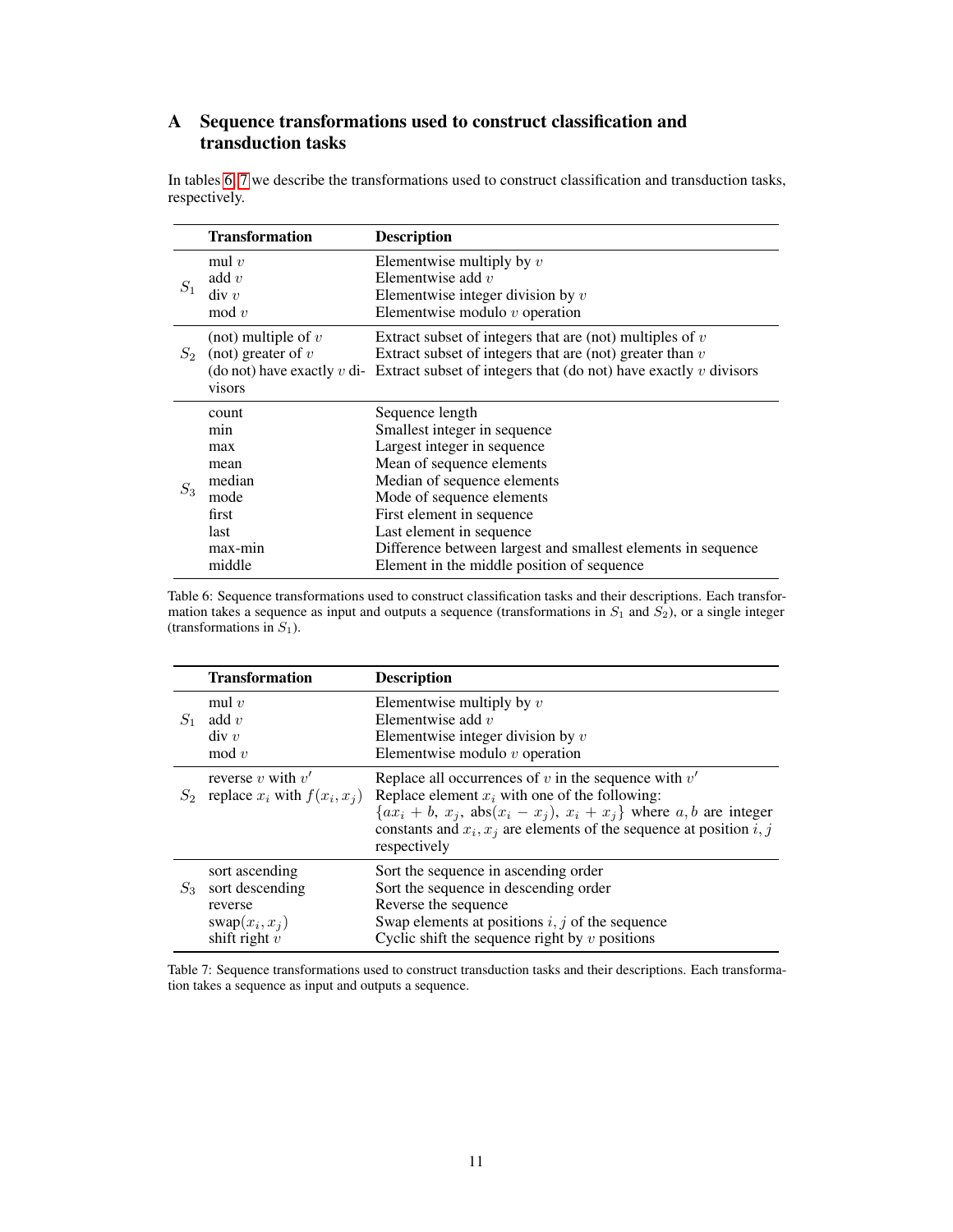# A Sequence transformations used to construct classification and transduction tasks

In tables [6,](#page-10-0) [7](#page-10-1) we describe the transformations used to construct classification and transduction tasks, respectively.

<span id="page-10-0"></span>

|       | <b>Transformation</b>                                                               | <b>Description</b>                                                                                                                                                                                                                                                                                                                             |
|-------|-------------------------------------------------------------------------------------|------------------------------------------------------------------------------------------------------------------------------------------------------------------------------------------------------------------------------------------------------------------------------------------------------------------------------------------------|
| $S_1$ | mul $v$<br>add $v$<br>div v<br>$\mod v$                                             | Elementwise multiply by $v$<br>Elementwise add $v$<br>Elementwise integer division by $v$<br>Elementwise modulo $v$ operation                                                                                                                                                                                                                  |
| $S_2$ | (not) multiple of $v$<br>(not) greater of $v$<br>visors                             | Extract subset of integers that are (not) multiples of $v$<br>Extract subset of integers that are (not) greater than $v$<br>(do not) have exactly v di- Extract subset of integers that (do not) have exactly v divisors                                                                                                                       |
| $S_3$ | count<br>min<br>max<br>mean<br>median<br>mode<br>first<br>last<br>max-min<br>middle | Sequence length<br>Smallest integer in sequence<br>Largest integer in sequence<br>Mean of sequence elements<br>Median of sequence elements<br>Mode of sequence elements<br>First element in sequence<br>Last element in sequence<br>Difference between largest and smallest elements in sequence<br>Element in the middle position of sequence |

Table 6: Sequence transformations used to construct classification tasks and their descriptions. Each transformation takes a sequence as input and outputs a sequence (transformations in  $S_1$  and  $S_2$ ), or a single integer (transformations in  $S_1$ ).

<span id="page-10-1"></span>

|       | <b>Transformation</b>                                                               | <b>Description</b>                                                                                                                                                                                                                                                              |
|-------|-------------------------------------------------------------------------------------|---------------------------------------------------------------------------------------------------------------------------------------------------------------------------------------------------------------------------------------------------------------------------------|
| $S_1$ | mul $v$<br>add $v$<br>div v<br>$\mod v$                                             | Elementwise multiply by $v$<br>Elementwise add $v$<br>Elementwise integer division by $v$<br>Elementwise modulo $v$ operation                                                                                                                                                   |
| $S_2$ | reverse v with $v'$<br>replace $x_i$ with $f(x_i, x_i)$                             | Replace all occurrences of $v$ in the sequence with $v'$<br>Replace element $x_i$ with one of the following:<br>$\{ax_i + b, x_j, abs(x_i - x_j), x_i + x_j\}$ where a, b are integer<br>constants and $x_i, x_j$ are elements of the sequence at position i, j<br>respectively |
| $S_3$ | sort ascending<br>sort descending<br>reverse<br>$swap(x_i, x_i)$<br>shift right $v$ | Sort the sequence in ascending order<br>Sort the sequence in descending order<br>Reverse the sequence<br>Swap elements at positions $i, j$ of the sequence<br>Cyclic shift the sequence right by $v$ positions                                                                  |

Table 7: Sequence transformations used to construct transduction tasks and their descriptions. Each transformation takes a sequence as input and outputs a sequence.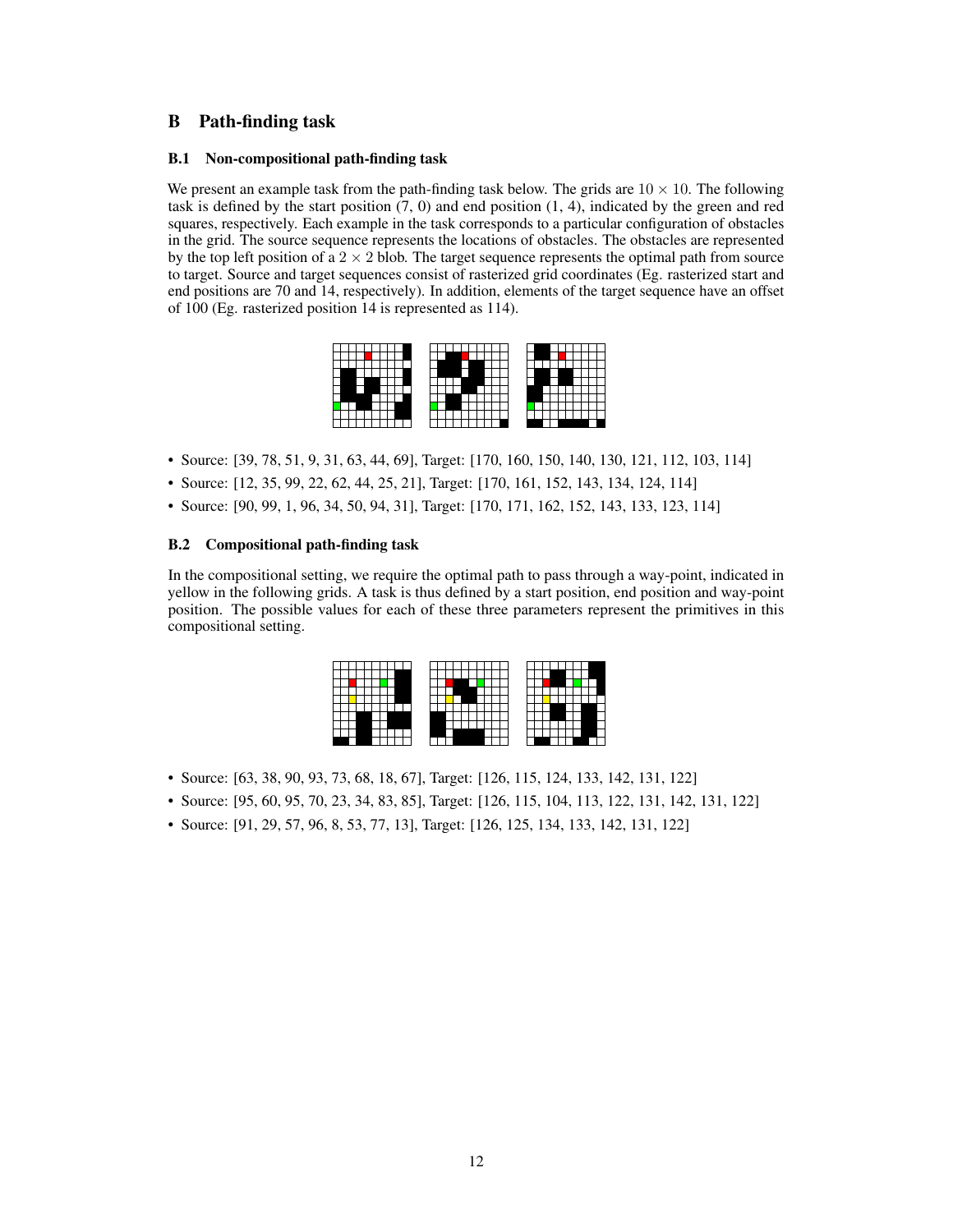## <span id="page-11-0"></span>B Path-finding task

#### B.1 Non-compositional path-finding task

We present an example task from the path-finding task below. The grids are  $10 \times 10$ . The following task is defined by the start position  $(7, 0)$  and end position  $(1, 4)$ , indicated by the green and red squares, respectively. Each example in the task corresponds to a particular configuration of obstacles in the grid. The source sequence represents the locations of obstacles. The obstacles are represented by the top left position of a  $2 \times 2$  blob. The target sequence represents the optimal path from source to target. Source and target sequences consist of rasterized grid coordinates (Eg. rasterized start and end positions are 70 and 14, respectively). In addition, elements of the target sequence have an offset of 100 (Eg. rasterized position 14 is represented as 114).

- Source: [39, 78, 51, 9, 31, 63, 44, 69], Target: [170, 160, 150, 140, 130, 121, 112, 103, 114]
- Source: [12, 35, 99, 22, 62, 44, 25, 21], Target: [170, 161, 152, 143, 134, 124, 114]
- Source: [90, 99, 1, 96, 34, 50, 94, 31], Target: [170, 171, 162, 152, 143, 133, 123, 114]

#### B.2 Compositional path-finding task

In the compositional setting, we require the optimal path to pass through a way-point, indicated in yellow in the following grids. A task is thus defined by a start position, end position and way-point position. The possible values for each of these three parameters represent the primitives in this compositional setting.

- Source: [63, 38, 90, 93, 73, 68, 18, 67], Target: [126, 115, 124, 133, 142, 131, 122]
- Source: [95, 60, 95, 70, 23, 34, 83, 85], Target: [126, 115, 104, 113, 122, 131, 142, 131, 122]
- Source: [91, 29, 57, 96, 8, 53, 77, 13], Target: [126, 125, 134, 133, 142, 131, 122]